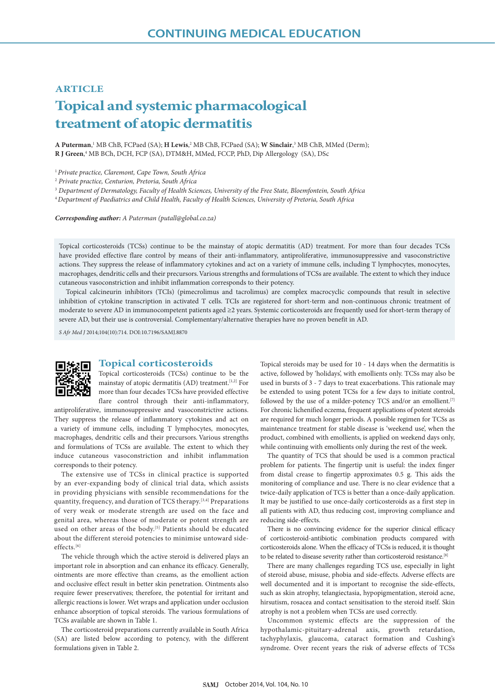# **ARTICLE**

# **Topical and systemic pharmacological treatment of atopic dermatitis**

**A Puterman**, <sup>1</sup> MB ChB, FCPaed (SA); **H Lewis**, <sup>2</sup> MB ChB, FCPaed (SA); **W Sinclair**, 3 MB ChB, MMed (Derm); **R J Green**, 4 MB BCh, DCH, FCP (SA), DTM&H, MMed, FCCP, PhD, Dip Allergology(SA), DSc

<sup>1</sup>*Private practice, Claremont, Cape Town, South Africa*

2  *Private practice, Centurion, Pretoria, South Africa*

<sup>3</sup> *Department of Dermatology, Faculty of Health Sciences, University of the Free State, Bloemfontein, South Africa*

<sup>4</sup>*Department of Paediatrics and Child Health, Faculty of Health Sciences, University of Pretoria, South Africa*

*Corresponding author: A Puterman (putall@global.co.za)*

Topical corticosteroids (TCSs) continue to be the mainstay of atopic dermatitis (AD) treatment. For more than four decades TCSs have provided effective flare control by means of their anti-inflammatory, antiproliferative, immunosuppressive and vasoconstrictive actions. They suppress the release of inflammatory cytokines and act on a variety of immune cells, including T lymphocytes, monocytes, macrophages, dendritic cells and their precursors.Various strengths and formulations of TCSs are available. The extent to which they induce cutaneous vasoconstriction and inhibit inflammation corresponds to their potency.

Topical calcineurin inhibitors (TCIs) (pimecrolimus and tacrolimus) are complex macrocyclic compounds that result in selective inhibition of cytokine transcription in activated T cells. TCIs are registered for short-term and non-continuous chronic treatment of moderate to severe AD in immunocompetent patients aged ≥2 years. Systemic corticosteroids are frequently used for short-term therapy of severe AD, but their use is controversial. Complementary/alternative therapies have no proven benefit in AD.

*S Afr Med J* 2014;104(10):714. DOI:10.7196/SAMJ.8870



## **Topical corticosteroids**

Topical corticosteroids (TCSs) continue to be the mainstay of atopic dermatitis (AD) treatment.<sup>[1,2]</sup> For more than four decades TCSs have provided effective flare control through their anti-inflammatory,

antiproliferative, immunosuppressive and vasoconstrictive actions. They suppress the release of inflammatory cytokines and act on a variety of immune cells, including T lymphocytes, monocytes, macrophages, dendritic cells and their precursors. Various strengths and formulations of TCSs are available. The extent to which they induce cutaneous vasoconstriction and inhibit inflammation corresponds to their potency.

The extensive use of TCSs in clinical practice is supported by an ever-expanding body of clinical trial data, which assists in providing physicians with sensible recommendations for the quantity, frequency, and duration of TCS therapy.[3,4] Preparations of very weak or moderate strength are used on the face and genital area, whereas those of moderate or potent strength are used on other areas of the body.<sup>[5]</sup> Patients should be educated about the different steroid potencies to minimise untoward sideeffects.<sup>[6]</sup>

The vehicle through which the active steroid is delivered plays an important role in absorption and can enhance its efficacy. Generally, ointments are more effective than creams, as the emollient action and occlusive effect result in better skin penetration. Ointments also require fewer preservatives; therefore, the potential for irritant and allergic reactions is lower. Wet wraps and application under occlusion enhance absorption of topical steroids. The various formulations of TCSs available are shown in Table 1.

The corticosteroid preparations currently available in South Africa (SA) are listed below according to potency, with the different formulations given in Table 2.

Topical steroids may be used for 10 - 14 days when the dermatitis is active, followed by 'holidays', with emollients only. TCSs may also be used in bursts of 3 - 7 days to treat exacerbations. This rationale may be extended to using potent TCSs for a few days to initiate control, followed by the use of a milder-potency TCS and/or an emollient.<sup>[7]</sup> For chronic lichenified eczema, frequent applications of potent steroids are required for much longer periods. A possible regimen for TCSs as maintenance treatment for stable disease is 'weekend use', when the product, combined with emollients, is applied on weekend days only, while continuing with emollients only during the rest of the week.

The quantity of TCS that should be used is a common practical problem for patients. The fingertip unit is useful: the index finger from distal crease to fingertip approximates 0.5 g. This aids the monitoring of compliance and use. There is no clear evidence that a twice-daily application of TCS is better than a once-daily application. It may be justified to use once-daily corticosteroids as a first step in all patients with AD, thus reducing cost, improving compliance and reducing side-effects.

There is no convincing evidence for the superior clinical efficacy of corticosteroid-antibiotic combination products compared with corticosteroids alone. When the efficacy of TCSs is reduced, it is thought to be related to disease severity rather than corticosteroid resistance.[8]

There are many challenges regarding TCS use, especially in light of steroid abuse, misuse, phobia and side-effects. Adverse effects are well documented and it is important to recognise the side-effects, such as skin atrophy, telangiectasia, hypopigmentation, steroid acne, hirsutism, rosacea and contact sensitisation to the steroid itself. Skin atrophy is not a problem when TCSs are used correctly.

Uncommon systemic effects are the suppression of the hypothalamic-pituitary-adrenal axis, growth retardation, tachyphylaxis, glaucoma, cataract formation and Cushing's syndrome. Over recent years the risk of adverse effects of TCSs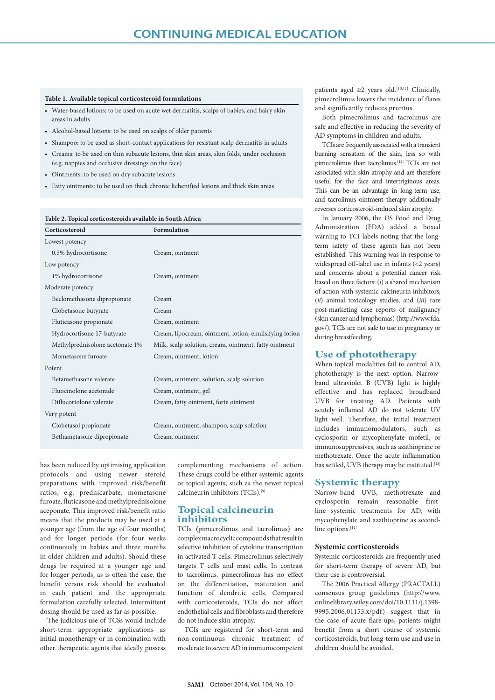## **Table 1. Available topical corticosteroid formulations**

- Water-based lotions: to be used on acute wet dermatitis, scalps of babies, and hairy skin areas in adults
- Alcohol-based lotions: to be used on scalps of older patients
- Shampoo: to be used as short-contact applications for resistant scalp dermatitis in adults
- Creams: to be used on thin subacute lesions, thin skin areas, skin folds, under occlusion (e.g. nappies and occlusive dressings on the face)
- Ointments: to be used on dry subacute lesions
- Fatty ointments: to be used on thick chronic lichenified lesions and thick skin areas

#### **Table 2. Topical corticosteroids available in South Africa**

| Corticosteroid                  | <b>Formulation</b>                                     |
|---------------------------------|--------------------------------------------------------|
| Lowest potency                  |                                                        |
| 0.5% hydrocortisone             | Cream, ointment                                        |
| Low potency                     |                                                        |
| 1% hydrocortisone               | Cream, ointment                                        |
| Moderate potency                |                                                        |
| Beclomethasone dipropionate     | Cream                                                  |
| Clobetasone butyrate            | Cream                                                  |
| Fluticasone propionate          | Cream, ointment                                        |
| Hydrocortisone 17-butyrate      | Cream, lipocream, ointment, lotion, emulsifying lotion |
| Methylprednisolone acetonate 1% | Milk, scalp solution, cream, ointment, fatty ointment  |
| Mometasone furoate              | Cream, ointment, lotion                                |
| Potent                          |                                                        |
| Betamethasone valerate          | Cream, ointment, solution, scalp solution              |
| Fluocinolone acetonide          | Cream, ointment, gel                                   |
| Diflucortolone valerate         | Cream, fatty ointment, forte ointment                  |
| Very potent                     |                                                        |
| Clobetasol propionate           | Cream, ointment, shampoo, scalp solution               |
| Bethametasone dipropionate      | Cream, ointment                                        |

has been reduced by optimising application protocols and using newer steroid preparations with improved risk/benefit ratios, e.g. prednicarbate, mometasone furoate, fluticasone and methylprednisolone aceponate. This improved risk/benefit ratio means that the products may be used at a younger age (from the age of four months) and for longer periods (for four weeks continuously in babies and three months in older children and adults). Should these drugs be required at a younger age and for longer periods, as is often the case, the benefit versus risk should be evaluated in each patient and the appropriate formulation carefully selected. Intermittent dosing should be used as far as possible.

The judicious use of TCSs would include short-term appropriate applications as initial monotherapy or in combination with other therapeutic agents that ideally possess complementing mechanisms of action. These drugs could be either systemic agents or topical agents, such as the newer topical calcineurin inhibitors (TCIs).[9]

# **Topical calcineurin inhibitors**

TCIs **(**pimecrolimus and tacrolimus) are complex macrocyclic compounds that result in selective inhibition of cytokine transcription in activated T cells. Pimecrolimus selectively targets T cells and mast cells. In contrast to tacrolimus, pimecrolimus has no effect on the differentiation, maturation and function of dendritic cells. Compared with corticosteroids, TCIs do not affect endothelial cells and fibroblasts and therefore do not induce skin atrophy.

TCIs are registered for short-term and non-continuous chronic treatment of moderate to severe AD in immunocompetent

patients aged  $\geq 2$  years old.<sup>[10,11]</sup> Clinically, pimecrolimus lowers the incidence of flares and significantly reduces pruritus.

Both pimecrolimus and tacrolimus are safe and effective in reducing the severity of AD symptoms in children and adults.

TCIs are frequently associated with a transient burning sensation of the skin, less so with pimecrolimus than tacrolimus.[12] TCIs are not associated with skin atrophy and are therefore useful for the face and intertriginous areas. This can be an advantage in long-term use, and tacrolimus ointment therapy additionally reverses corticosteroid-induced skin atrophy.

In January 2006, the US Food and Drug Administration (FDA) added a boxed warning to TCI labels noting that the longterm safety of these agents has not been established. This warning was in response to widespread off-label use in infants (<2 years) and concerns about a potential cancer risk based on three factors: (*i*) a shared mechanism of action with systemic calcineurin inhibitors; (*ii*) animal toxicology studies; and (*iii*) rare post-marketing case reports of malignancy (skin cancer and lymphomas) (http://www.fda. gov/). TCIs are not safe to use in pregnancy or during breastfeeding.

# **Use of phototherapy**

When topical modalities fail to control AD, phototherapy is the next option. Narrowband ultraviolet B (UVB) light is highly effective and has replaced broadband UVB for treating AD. Patients with acutely inflamed AD do not tolerate UV light well. Therefore, the initial treatment includes immunomodulators, such as cyclosporin or mycophenylate mofetil, or immunosuppressives, such as azathioprine or methotrexate. Once the acute inflammation has settled, UVB therapy may be instituted.<sup>[13]</sup>

# **Systemic therapy**

Narrow-band UVB, methotrexate and cyclosporin remain reasonable firstline systemic treatments for AD, with mycophenylate and azathioprine as secondline options.<sup>[14]</sup>

## **Systemic corticosteroids**

Systemic corticosteroids are frequently used for short-term therapy of severe AD, but their use is controversial.

The 2006 Practical Allergy (PRACTALL) consensus group guidelines (http://www. onlinelibrary.wiley.com/doi/10.1111/j.1398- 9995.2006.01153.x/pdf) suggest that in the case of acute flare-ups, patients might benefit from a short course of systemic corticosteroids, but long-term use and use in children should be avoided.